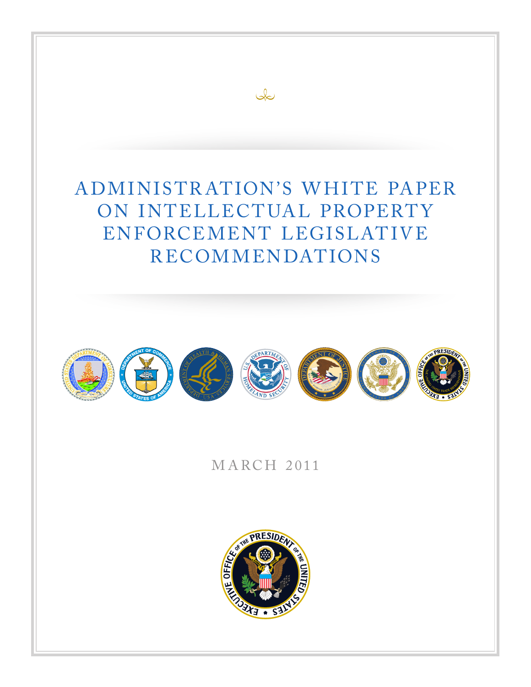### A DMINISTR AT ION'S W HITE PA PER ON INTELLECTUAL PROPERTY ENFORCEMENT LEGISLATIVE RECOMMENDATIONS

 $\infty$ 



MARCH 2011

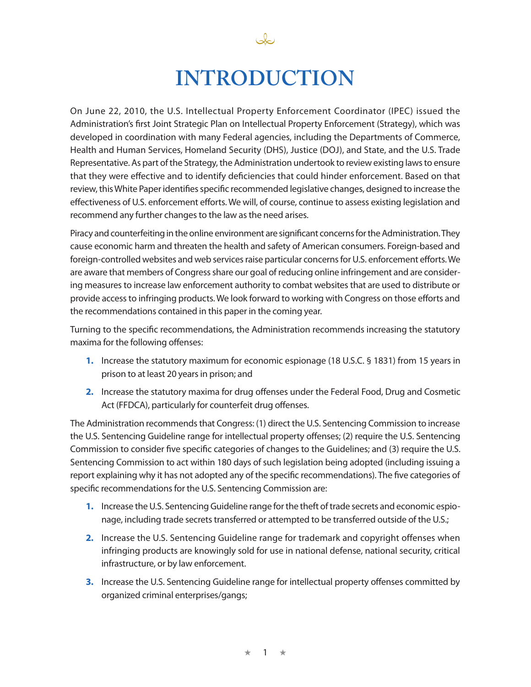

Jo

On June 22, 2010, the U.S. Intellectual Property Enforcement Coordinator (IPEC) issued the Administration's first Joint Strategic Plan on Intellectual Property Enforcement (Strategy), which was developed in coordination with many Federal agencies, including the Departments of Commerce, Health and Human Services, Homeland Security (DHS), Justice (DOJ), and State, and the U.S. Trade Representative. As part of the Strategy, the Administration undertook to review existing laws to ensure that they were effective and to identify deficiencies that could hinder enforcement. Based on that review, this White Paper identifies specific recommended legislative changes, designed to increase the effectiveness of U.S. enforcement efforts. We will, of course, continue to assess existing legislation and recommend any further changes to the law as the need arises.

Piracy and counterfeiting in the online environment are significant concerns for the Administration. They cause economic harm and threaten the health and safety of American consumers. Foreign-based and foreign-controlled websites and web services raise particular concerns for U.S. enforcement efforts. We are aware that members of Congress share our goal of reducing online infringement and are considering measures to increase law enforcement authority to combat websites that are used to distribute or provide access to infringing products. We look forward to working with Congress on those efforts and the recommendations contained in this paper in the coming year.

Turning to the specific recommendations, the Administration recommends increasing the statutory maxima for the following offenses:

- **1.** Increase the statutory maximum for economic espionage (18 U.S.C. § 1831) from 15 years in prison to at least 20 years in prison; and
- **2.** Increase the statutory maxima for drug offenses under the Federal Food, Drug and Cosmetic Act (FFDCA), particularly for counterfeit drug offenses.

The Administration recommends that Congress: (1) direct the U.S. Sentencing Commission to increase the U.S. Sentencing Guideline range for intellectual property offenses; (2) require the U.S. Sentencing Commission to consider five specific categories of changes to the Guidelines; and (3) require the U.S. Sentencing Commission to act within 180 days of such legislation being adopted (including issuing a report explaining why it has not adopted any of the specific recommendations). The five categories of specific recommendations for the U.S. Sentencing Commission are:

- **1.** Increase the U.S. Sentencing Guideline range for the theft of trade secrets and economic espionage, including trade secrets transferred or attempted to be transferred outside of the U.S.;
- **2.** Increase the U.S. Sentencing Guideline range for trademark and copyright offenses when infringing products are knowingly sold for use in national defense, national security, critical infrastructure, or by law enforcement.
- **3.** Increase the U.S. Sentencing Guideline range for intellectual property offenses committed by organized criminal enterprises/gangs;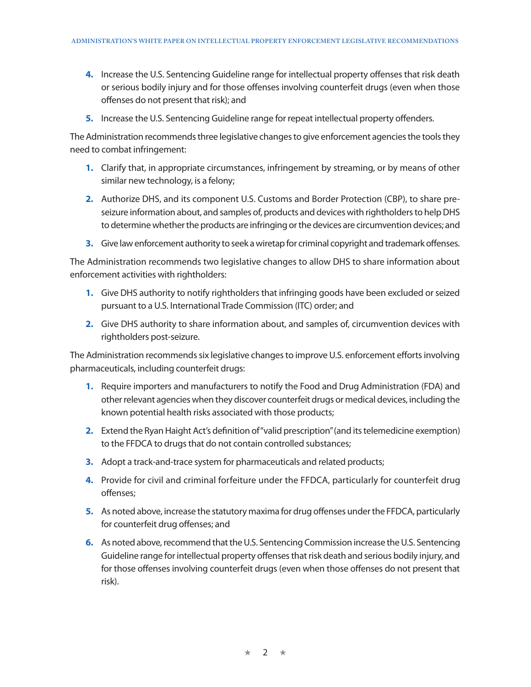- **4.** Increase the U.S. Sentencing Guideline range for intellectual property offenses that risk death or serious bodily injury and for those offenses involving counterfeit drugs (even when those offenses do not present that risk); and
- **5.** Increase the U.S. Sentencing Guideline range for repeat intellectual property offenders.

The Administration recommends three legislative changes to give enforcement agencies the tools they need to combat infringement:

- **1.** Clarify that, in appropriate circumstances, infringement by streaming, or by means of other similar new technology, is a felony;
- **2.** Authorize DHS, and its component U.S. Customs and Border Protection (CBP), to share preseizure information about, and samples of, products and devices with rightholders to help DHS to determine whether the products are infringing or the devices are circumvention devices; and
- **3.** Give law enforcement authority to seek a wiretap for criminal copyright and trademark offenses.

The Administration recommends two legislative changes to allow DHS to share information about enforcement activities with rightholders:

- **1.** Give DHS authority to notify rightholders that infringing goods have been excluded or seized pursuant to a U.S. International Trade Commission (ITC) order; and
- **2.** Give DHS authority to share information about, and samples of, circumvention devices with rightholders post-seizure.

The Administration recommends six legislative changes to improve U.S. enforcement efforts involving pharmaceuticals, including counterfeit drugs:

- **1.** Require importers and manufacturers to notify the Food and Drug Administration (FDA) and other relevant agencies when they discover counterfeit drugs or medical devices, including the known potential health risks associated with those products;
- **2.** Extend the Ryan Haight Act's definition of "valid prescription" (and its telemedicine exemption) to the FFDCA to drugs that do not contain controlled substances;
- **3.** Adopt a track-and-trace system for pharmaceuticals and related products;
- **4.** Provide for civil and criminal forfeiture under the FFDCA, particularly for counterfeit drug offenses;
- **5.** As noted above, increase the statutory maxima for drug offenses under the FFDCA, particularly for counterfeit drug offenses; and
- **6.** As noted above, recommend that the U.S. Sentencing Commission increase the U.S. Sentencing Guideline range for intellectual property offenses that risk death and serious bodily injury, and for those offenses involving counterfeit drugs (even when those offenses do not present that risk).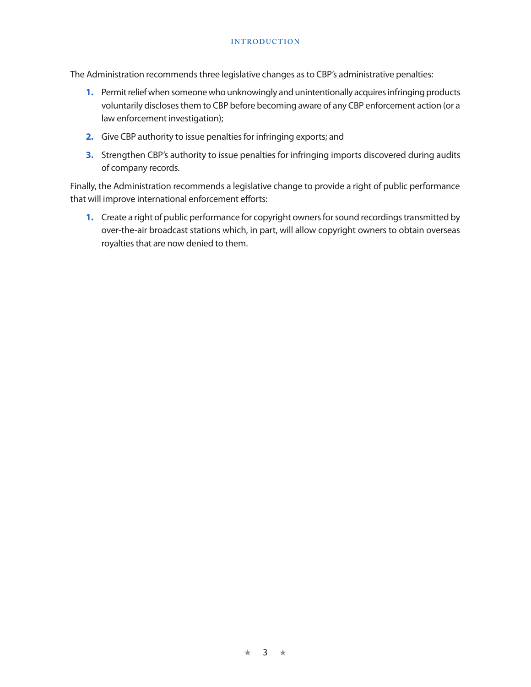#### **INTRODUCTION**

The Administration recommends three legislative changes as to CBP's administrative penalties:

- **1.** Permit relief when someone who unknowingly and unintentionally acquires infringing products voluntarily discloses them to CBP before becoming aware of any CBP enforcement action (or a law enforcement investigation);
- **2.** Give CBP authority to issue penalties for infringing exports; and
- **3.** Strengthen CBP's authority to issue penalties for infringing imports discovered during audits of company records.

Finally, the Administration recommends a legislative change to provide a right of public performance that will improve international enforcement efforts:

**1.** Create a right of public performance for copyright owners for sound recordings transmitted by over-the-air broadcast stations which, in part, will allow copyright owners to obtain overseas royalties that are now denied to them.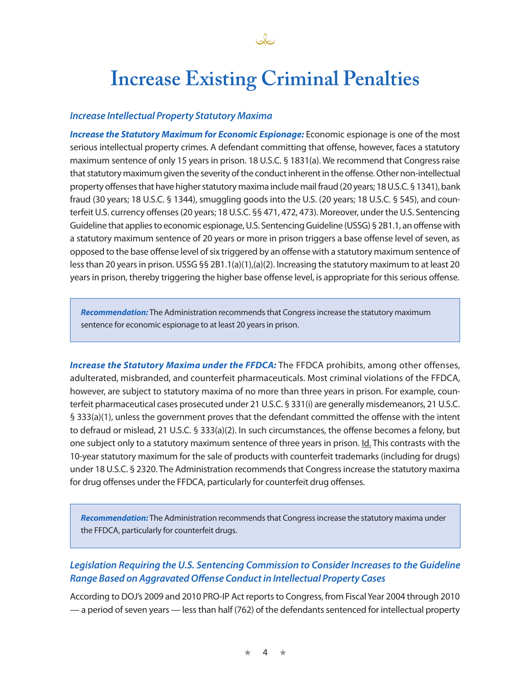## **Increase Existing Criminal Penalties**

#### *Increase Intellectual Property Statutory Maxima*

*Increase the Statutory Maximum for Economic Espionage:* Economic espionage is one of the most serious intellectual property crimes. A defendant committing that offense, however, faces a statutory maximum sentence of only 15 years in prison. 18 U.S.C. § 1831(a). We recommend that Congress raise that statutory maximum given the severity of the conduct inherent in the offense. Other non-intellectual property offenses that have higher statutory maxima include mail fraud (20 years; 18 U.S.C. § 1341), bank fraud (30 years; 18 U.S.C. § 1344), smuggling goods into the U.S. (20 years; 18 U.S.C. § 545), and counterfeit U.S. currency offenses (20 years; 18 U.S.C. §§ 471, 472, 473). Moreover, under the U.S. Sentencing Guideline that applies to economic espionage, U.S. Sentencing Guideline (USSG) § 2B1.1, an offense with a statutory maximum sentence of 20 years or more in prison triggers a base offense level of seven, as opposed to the base offense level of six triggered by an offense with a statutory maximum sentence of less than 20 years in prison. USSG §§ 2B1.1(a)(1),(a)(2). Increasing the statutory maximum to at least 20 years in prison, thereby triggering the higher base offense level, is appropriate for this serious offense.

*Recommendation:* The Administration recommends that Congress increase the statutory maximum sentence for economic espionage to at least 20 years in prison.

*Increase the Statutory Maxima under the FFDCA:* The FFDCA prohibits, among other offenses, adulterated, misbranded, and counterfeit pharmaceuticals. Most criminal violations of the FFDCA, however, are subject to statutory maxima of no more than three years in prison. For example, counterfeit pharmaceutical cases prosecuted under 21 U.S.C. § 331(i) are generally misdemeanors, 21 U.S.C. § 333(a)(1), unless the government proves that the defendant committed the offense with the intent to defraud or mislead, 21 U.S.C. § 333(a)(2). In such circumstances, the offense becomes a felony, but one subject only to a statutory maximum sentence of three years in prison. Id. This contrasts with the 10-year statutory maximum for the sale of products with counterfeit trademarks (including for drugs) under 18 U.S.C. § 2320. The Administration recommends that Congress increase the statutory maxima for drug offenses under the FFDCA, particularly for counterfeit drug offenses.

*Recommendation:* The Administration recommends that Congress increase the statutory maxima under the FFDCA, particularly for counterfeit drugs.

### *Legislation Requiring the U.S. Sentencing Commission to Consider Increases to the Guideline Range Based on Aggravated Offense Conduct in Intellectual Property Cases*

According to DOJ's 2009 and 2010 PRO-IP Act reports to Congress, from Fiscal Year 2004 through 2010 — a period of seven years — less than half (762) of the defendants sentenced for intellectual property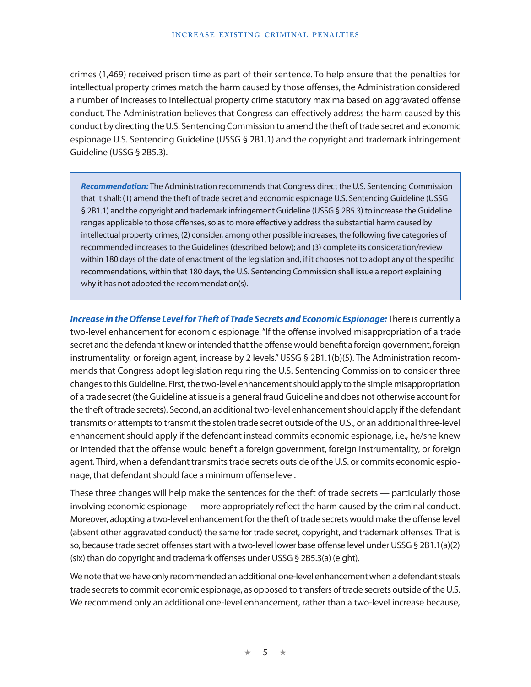crimes (1,469) received prison time as part of their sentence. To help ensure that the penalties for intellectual property crimes match the harm caused by those offenses, the Administration considered a number of increases to intellectual property crime statutory maxima based on aggravated offense conduct. The Administration believes that Congress can effectively address the harm caused by this conduct by directing the U.S. Sentencing Commission to amend the theft of trade secret and economic espionage U.S. Sentencing Guideline (USSG § 2B1.1) and the copyright and trademark infringement Guideline (USSG § 2B5.3).

*Recommendation:* The Administration recommends that Congress direct the U.S. Sentencing Commission that it shall: (1) amend the theft of trade secret and economic espionage U.S. Sentencing Guideline (USSG § 2B1.1) and the copyright and trademark infringement Guideline (USSG § 2B5.3) to increase the Guideline ranges applicable to those offenses, so as to more effectively address the substantial harm caused by intellectual property crimes; (2) consider, among other possible increases, the following five categories of recommended increases to the Guidelines (described below); and (3) complete its consideration/review within 180 days of the date of enactment of the legislation and, if it chooses not to adopt any of the specific recommendations, within that 180 days, the U.S. Sentencing Commission shall issue a report explaining why it has not adopted the recommendation(s).

*Increase in the Offense Level for Theft of Trade Secrets and Economic Espionage:* There is currently a two-level enhancement for economic espionage: "If the offense involved misappropriation of a trade secret and the defendant knew or intended that the offense would benefit a foreign government, foreign instrumentality, or foreign agent, increase by 2 levels." USSG § 2B1.1(b)(5). The Administration recommends that Congress adopt legislation requiring the U.S. Sentencing Commission to consider three changes to this Guideline. First, the two-level enhancement should apply to the simple misappropriation of a trade secret (the Guideline at issue is a general fraud Guideline and does not otherwise account for the theft of trade secrets). Second, an additional two-level enhancement should apply if the defendant transmits or attempts to transmit the stolen trade secret outside of the U.S., or an additional three-level enhancement should apply if the defendant instead commits economic espionage, i.e., he/she knew or intended that the offense would benefit a foreign government, foreign instrumentality, or foreign agent. Third, when a defendant transmits trade secrets outside of the U.S. or commits economic espionage, that defendant should face a minimum offense level.

These three changes will help make the sentences for the theft of trade secrets — particularly those involving economic espionage — more appropriately reflect the harm caused by the criminal conduct. Moreover, adopting a two-level enhancement for the theft of trade secrets would make the offense level (absent other aggravated conduct) the same for trade secret, copyright, and trademark offenses. That is so, because trade secret offenses start with a two-level lower base offense level under USSG § 2B1.1(a)(2) (six) than do copyright and trademark offenses under USSG § 2B5.3(a) (eight).

We note that we have only recommended an additional one-level enhancement when a defendant steals trade secrets to commit economic espionage, as opposed to transfers of trade secrets outside of the U.S. We recommend only an additional one-level enhancement, rather than a two-level increase because,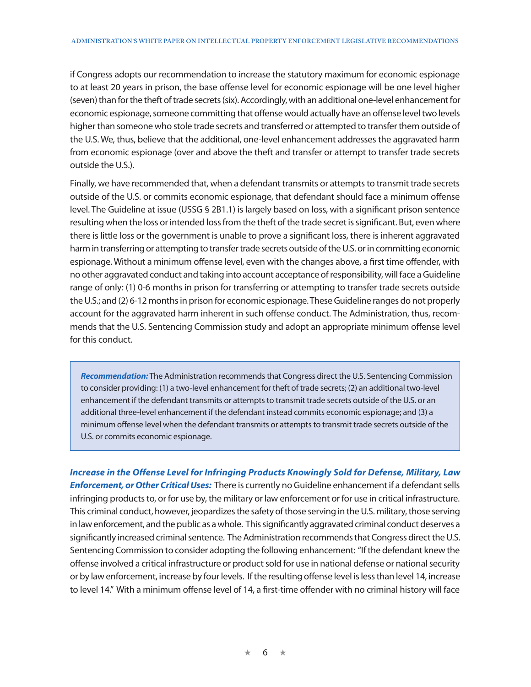if Congress adopts our recommendation to increase the statutory maximum for economic espionage to at least 20 years in prison, the base offense level for economic espionage will be one level higher (seven) than for the theft of trade secrets (six). Accordingly, with an additional one-level enhancement for economic espionage, someone committing that offense would actually have an offense level two levels higher than someone who stole trade secrets and transferred or attempted to transfer them outside of the U.S. We, thus, believe that the additional, one-level enhancement addresses the aggravated harm from economic espionage (over and above the theft and transfer or attempt to transfer trade secrets outside the U.S.).

Finally, we have recommended that, when a defendant transmits or attempts to transmit trade secrets outside of the U.S. or commits economic espionage, that defendant should face a minimum offense level. The Guideline at issue (USSG § 2B1.1) is largely based on loss, with a significant prison sentence resulting when the loss or intended loss from the theft of the trade secret is significant. But, even where there is little loss or the government is unable to prove a significant loss, there is inherent aggravated harm in transferring or attempting to transfer trade secrets outside of the U.S. or in committing economic espionage. Without a minimum offense level, even with the changes above, a first time offender, with no other aggravated conduct and taking into account acceptance of responsibility, will face a Guideline range of only: (1) 0-6 months in prison for transferring or attempting to transfer trade secrets outside the U.S.; and (2) 6-12 months in prison for economic espionage. These Guideline ranges do not properly account for the aggravated harm inherent in such offense conduct. The Administration, thus, recommends that the U.S. Sentencing Commission study and adopt an appropriate minimum offense level for this conduct.

*Recommendation:* The Administration recommends that Congress direct the U.S. Sentencing Commission to consider providing: (1) a two-level enhancement for theft of trade secrets; (2) an additional two-level enhancement if the defendant transmits or attempts to transmit trade secrets outside of the U.S. or an additional three-level enhancement if the defendant instead commits economic espionage; and (3) a minimum offense level when the defendant transmits or attempts to transmit trade secrets outside of the U.S. or commits economic espionage.

*Increase in the Offense Level for Infringing Products Knowingly Sold for Defense, Military, Law*  **Enforcement, or Other Critical Uses:** There is currently no Guideline enhancement if a defendant sells infringing products to, or for use by, the military or law enforcement or for use in critical infrastructure. This criminal conduct, however, jeopardizes the safety of those serving in the U.S. military, those serving in law enforcement, and the public as a whole. This significantly aggravated criminal conduct deserves a significantly increased criminal sentence. The Administration recommends that Congress direct the U.S. Sentencing Commission to consider adopting the following enhancement: "If the defendant knew the offense involved a critical infrastructure or product sold for use in national defense or national security or by law enforcement, increase by four levels. If the resulting offense level is less than level 14, increase to level 14." With a minimum offense level of 14, a first-time offender with no criminal history will face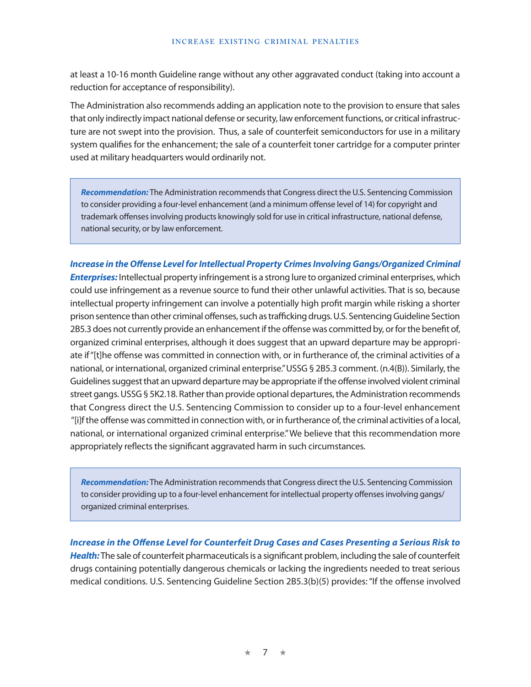at least a 10-16 month Guideline range without any other aggravated conduct (taking into account a reduction for acceptance of responsibility).

The Administration also recommends adding an application note to the provision to ensure that sales that only indirectly impact national defense or security, law enforcement functions, or critical infrastructure are not swept into the provision. Thus, a sale of counterfeit semiconductors for use in a military system qualifies for the enhancement; the sale of a counterfeit toner cartridge for a computer printer used at military headquarters would ordinarily not.

*Recommendation:* The Administration recommends that Congress direct the U.S. Sentencing Commission to consider providing a four-level enhancement (and a minimum offense level of 14) for copyright and trademark offenses involving products knowingly sold for use in critical infrastructure, national defense, national security, or by law enforcement.

*Increase in the Offense Level for Intellectual Property Crimes Involving Gangs/Organized Criminal Enterprises:* Intellectual property infringement is a strong lure to organized criminal enterprises, which could use infringement as a revenue source to fund their other unlawful activities. That is so, because intellectual property infringement can involve a potentially high profit margin while risking a shorter prison sentence than other criminal offenses, such as trafficking drugs. U.S. Sentencing Guideline Section 2B5.3 does not currently provide an enhancement if the offense was committed by, or for the benefit of, organized criminal enterprises, although it does suggest that an upward departure may be appropriate if "[t]he offense was committed in connection with, or in furtherance of, the criminal activities of a national, or international, organized criminal enterprise." USSG § 2B5.3 comment. (n.4(B)). Similarly, the Guidelines suggest that an upward departure may be appropriate if the offense involved violent criminal street gangs. USSG § 5K2.18. Rather than provide optional departures, the Administration recommends that Congress direct the U.S. Sentencing Commission to consider up to a four-level enhancement "[i]f the offense was committed in connection with, or in furtherance of, the criminal activities of a local, national, or international organized criminal enterprise." We believe that this recommendation more appropriately reflects the significant aggravated harm in such circumstances.

*Recommendation:* The Administration recommends that Congress direct the U.S. Sentencing Commission to consider providing up to a four-level enhancement for intellectual property offenses involving gangs/ organized criminal enterprises.

*Increase in the Offense Level for Counterfeit Drug Cases and Cases Presenting a Serious Risk to Health:* The sale of counterfeit pharmaceuticals is a significant problem, including the sale of counterfeit drugs containing potentially dangerous chemicals or lacking the ingredients needed to treat serious medical conditions. U.S. Sentencing Guideline Section 2B5.3(b)(5) provides: "If the offense involved

★ 7 ★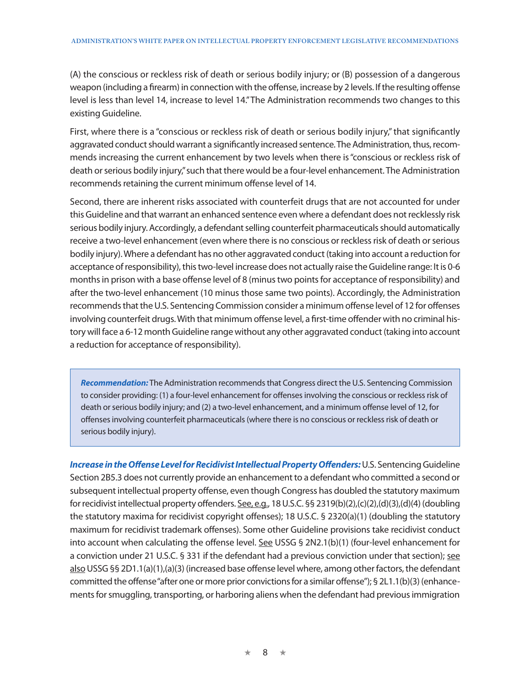(A) the conscious or reckless risk of death or serious bodily injury; or (B) possession of a dangerous weapon (including a firearm) in connection with the offense, increase by 2 levels. If the resulting offense level is less than level 14, increase to level 14." The Administration recommends two changes to this existing Guideline.

First, where there is a "conscious or reckless risk of death or serious bodily injury," that significantly aggravated conduct should warrant a significantly increased sentence. The Administration, thus, recommends increasing the current enhancement by two levels when there is "conscious or reckless risk of death or serious bodily injury," such that there would be a four-level enhancement. The Administration recommends retaining the current minimum offense level of 14.

Second, there are inherent risks associated with counterfeit drugs that are not accounted for under this Guideline and that warrant an enhanced sentence even where a defendant does not recklessly risk serious bodily injury. Accordingly, a defendant selling counterfeit pharmaceuticals should automatically receive a two-level enhancement (even where there is no conscious or reckless risk of death or serious bodily injury). Where a defendant has no other aggravated conduct (taking into account a reduction for acceptance of responsibility), this two-level increase does not actually raise the Guideline range: It is 0-6 months in prison with a base offense level of 8 (minus two points for acceptance of responsibility) and after the two-level enhancement (10 minus those same two points). Accordingly, the Administration recommends that the U.S. Sentencing Commission consider a minimum offense level of 12 for offenses involving counterfeit drugs. With that minimum offense level, a first-time offender with no criminal history will face a 6-12 month Guideline range without any other aggravated conduct (taking into account a reduction for acceptance of responsibility).

*Recommendation:* The Administration recommends that Congress direct the U.S. Sentencing Commission to consider providing: (1) a four-level enhancement for offenses involving the conscious or reckless risk of death or serious bodily injury; and (2) a two-level enhancement, and a minimum offense level of 12, for offenses involving counterfeit pharmaceuticals (where there is no conscious or reckless risk of death or serious bodily injury).

*Increase in the Offense Level for Recidivist Intellectual Property Offenders:* U.S. Sentencing Guideline Section 2B5.3 does not currently provide an enhancement to a defendant who committed a second or subsequent intellectual property offense, even though Congress has doubled the statutory maximum for recidivist intellectual property offenders. See, e.g., 18 U.S.C. §§ 2319(b)(2),(c)(2),(d)(3),(d)(4) (doubling the statutory maxima for recidivist copyright offenses); 18 U.S.C. § 2320(a)(1) (doubling the statutory maximum for recidivist trademark offenses). Some other Guideline provisions take recidivist conduct into account when calculating the offense level. See USSG § 2N2.1(b)(1) (four-level enhancement for a conviction under 21 U.S.C. § 331 if the defendant had a previous conviction under that section); see also USSG §§ 2D1.1(a)(1),(a)(3) (increased base offense level where, among other factors, the defendant committed the offense "after one or more prior convictions for a similar offense"); § 2L1.1(b)(3) (enhancements for smuggling, transporting, or harboring aliens when the defendant had previous immigration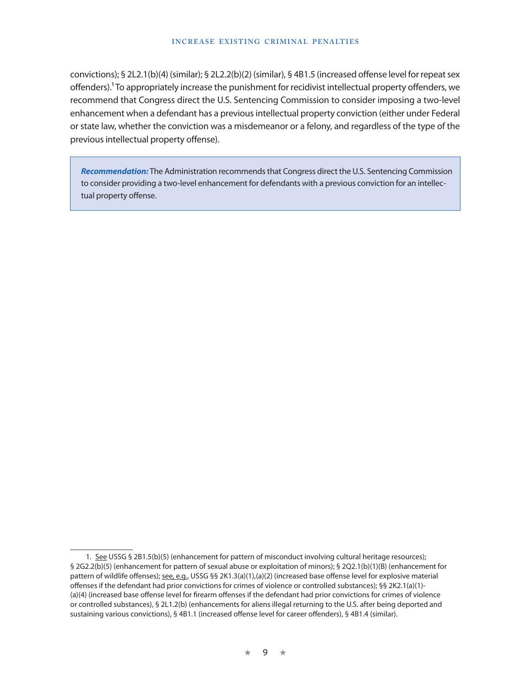#### **Increase Existing Criminal Penalties**

convictions); § 2L2.1(b)(4) (similar); § 2L2.2(b)(2) (similar), § 4B1.5 (increased offense level for repeat sex offenders).1 To appropriately increase the punishment for recidivist intellectual property offenders, we recommend that Congress direct the U.S. Sentencing Commission to consider imposing a two-level enhancement when a defendant has a previous intellectual property conviction (either under Federal or state law, whether the conviction was a misdemeanor or a felony, and regardless of the type of the previous intellectual property offense).

*Recommendation:* The Administration recommends that Congress direct the U.S. Sentencing Commission to consider providing a two-level enhancement for defendants with a previous conviction for an intellectual property offense.

<sup>1.</sup> See USSG § 2B1.5(b)(5) (enhancement for pattern of misconduct involving cultural heritage resources); § 2G2.2(b)(5) (enhancement for pattern of sexual abuse or exploitation of minors); § 2Q2.1(b)(1)(B) (enhancement for pattern of wildlife offenses); see, e.g., USSG §§ 2K1.3(a)(1),(a)(2) (increased base offense level for explosive material offenses if the defendant had prior convictions for crimes of violence or controlled substances); §§ 2K2.1(a)(1)- (a)(4) (increased base offense level for firearm offenses if the defendant had prior convictions for crimes of violence or controlled substances), § 2L1.2(b) (enhancements for aliens illegal returning to the U.S. after being deported and sustaining various convictions), § 4B1.1 (increased offense level for career offenders), § 4B1.4 (similar).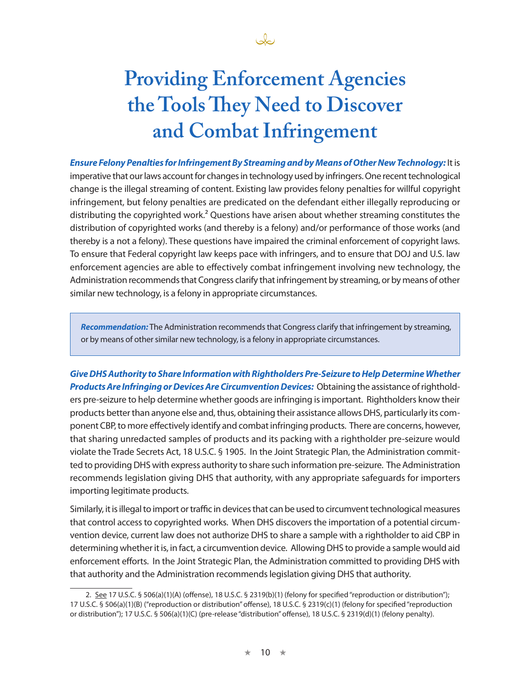

# **Providing Enforcement Agencies the Tools They Need to Discover and Combat Infringement**

*Ensure Felony Penalties for Infringement By Streaming and by Means of Other New Technology:* It is imperative that our laws account for changes in technology used by infringers. One recent technological change is the illegal streaming of content. Existing law provides felony penalties for willful copyright infringement, but felony penalties are predicated on the defendant either illegally reproducing or distributing the copyrighted work.<sup>2</sup> Questions have arisen about whether streaming constitutes the distribution of copyrighted works (and thereby is a felony) and/or performance of those works (and thereby is a not a felony). These questions have impaired the criminal enforcement of copyright laws. To ensure that Federal copyright law keeps pace with infringers, and to ensure that DOJ and U.S. law enforcement agencies are able to effectively combat infringement involving new technology, the Administration recommends that Congress clarify that infringement by streaming, or by means of other similar new technology, is a felony in appropriate circumstances.

*Recommendation:* The Administration recommends that Congress clarify that infringement by streaming, or by means of other similar new technology, is a felony in appropriate circumstances.

*Give DHS Authority to Share Information with Rightholders Pre-Seizure to Help Determine Whether Products Are Infringing or Devices Are Circumvention Devices:* Obtaining the assistance of rightholders pre-seizure to help determine whether goods are infringing is important. Rightholders know their products better than anyone else and, thus, obtaining their assistance allows DHS, particularly its component CBP, to more effectively identify and combat infringing products. There are concerns, however, that sharing unredacted samples of products and its packing with a rightholder pre-seizure would violate the Trade Secrets Act, 18 U.S.C. § 1905. In the Joint Strategic Plan, the Administration committed to providing DHS with express authority to share such information pre-seizure. The Administration recommends legislation giving DHS that authority, with any appropriate safeguards for importers importing legitimate products.

Similarly, it is illegal to import or traffic in devices that can be used to circumvent technological measures that control access to copyrighted works. When DHS discovers the importation of a potential circumvention device, current law does not authorize DHS to share a sample with a rightholder to aid CBP in determining whether it is, in fact, a circumvention device. Allowing DHS to provide a sample would aid enforcement efforts. In the Joint Strategic Plan, the Administration committed to providing DHS with that authority and the Administration recommends legislation giving DHS that authority.

<sup>2.</sup> See 17 U.S.C. § 506(a)(1)(A) (offense), 18 U.S.C. § 2319(b)(1) (felony for specified "reproduction or distribution"); 17 U.S.C. § 506(a)(1)(B) ("reproduction or distribution" offense), 18 U.S.C. § 2319(c)(1) (felony for specified "reproduction or distribution"); 17 U.S.C. § 506(a)(1)(C) (pre-release "distribution" offense), 18 U.S.C. § 2319(d)(1) (felony penalty).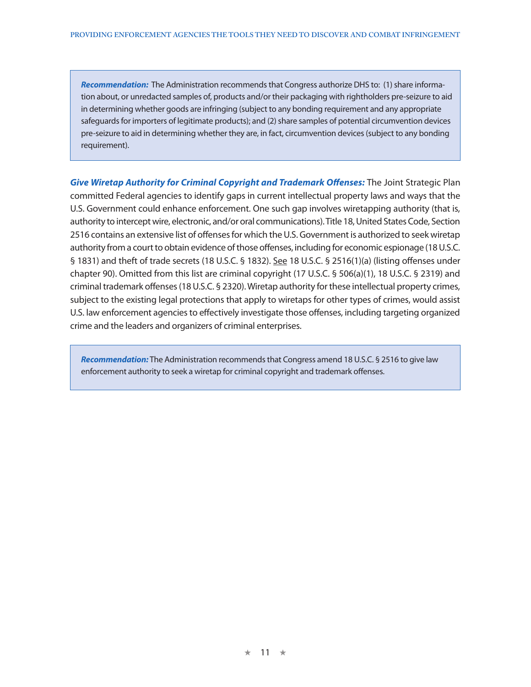*Recommendation:* The Administration recommends that Congress authorize DHS to: (1) share information about, or unredacted samples of, products and/or their packaging with rightholders pre-seizure to aid in determining whether goods are infringing (subject to any bonding requirement and any appropriate safeguards for importers of legitimate products); and (2) share samples of potential circumvention devices pre-seizure to aid in determining whether they are, in fact, circumvention devices (subject to any bonding requirement).

*Give Wiretap Authority for Criminal Copyright and Trademark Offenses:* The Joint Strategic Plan committed Federal agencies to identify gaps in current intellectual property laws and ways that the U.S. Government could enhance enforcement. One such gap involves wiretapping authority (that is, authority to intercept wire, electronic, and/or oral communications). Title 18, United States Code, Section 2516 contains an extensive list of offenses for which the U.S. Government is authorized to seek wiretap authority from a court to obtain evidence of those offenses, including for economic espionage (18 U.S.C. § 1831) and theft of trade secrets (18 U.S.C. § 1832). See 18 U.S.C. § 2516(1)(a) (listing offenses under chapter 90). Omitted from this list are criminal copyright (17 U.S.C. § 506(a)(1), 18 U.S.C. § 2319) and criminal trademark offenses (18 U.S.C. § 2320). Wiretap authority for these intellectual property crimes, subject to the existing legal protections that apply to wiretaps for other types of crimes, would assist U.S. law enforcement agencies to effectively investigate those offenses, including targeting organized crime and the leaders and organizers of criminal enterprises.

*Recommendation:* The Administration recommends that Congress amend 18 U.S.C. § 2516 to give law enforcement authority to seek a wiretap for criminal copyright and trademark offenses.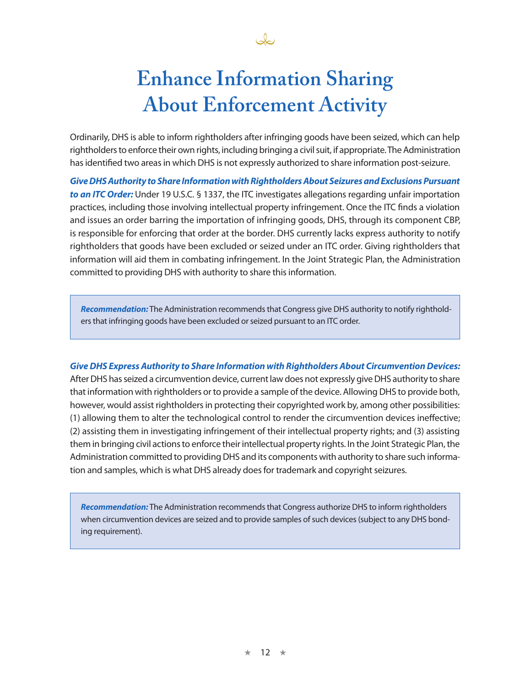

# **Enhance Information Sharing About Enforcement Activity**

Ordinarily, DHS is able to inform rightholders after infringing goods have been seized, which can help rightholders to enforce their own rights, including bringing a civil suit, if appropriate. The Administration has identified two areas in which DHS is not expressly authorized to share information post-seizure.

*Give DHS Authority to Share Information with Rightholders About Seizures and Exclusions Pursuant to an ITC Order:* Under 19 U.S.C. § 1337, the ITC investigates allegations regarding unfair importation practices, including those involving intellectual property infringement. Once the ITC finds a violation and issues an order barring the importation of infringing goods, DHS, through its component CBP, is responsible for enforcing that order at the border. DHS currently lacks express authority to notify rightholders that goods have been excluded or seized under an ITC order. Giving rightholders that information will aid them in combating infringement. In the Joint Strategic Plan, the Administration committed to providing DHS with authority to share this information.

*Recommendation:* The Administration recommends that Congress give DHS authority to notify rightholders that infringing goods have been excluded or seized pursuant to an ITC order.

*Give DHS Express Authority to Share Information with Rightholders About Circumvention Devices:*  After DHS has seized a circumvention device, current law does not expressly give DHS authority to share that information with rightholders or to provide a sample of the device. Allowing DHS to provide both, however, would assist rightholders in protecting their copyrighted work by, among other possibilities: (1) allowing them to alter the technological control to render the circumvention devices ineffective; (2) assisting them in investigating infringement of their intellectual property rights; and (3) assisting them in bringing civil actions to enforce their intellectual property rights. In the Joint Strategic Plan, the Administration committed to providing DHS and its components with authority to share such information and samples, which is what DHS already does for trademark and copyright seizures.

*Recommendation:* The Administration recommends that Congress authorize DHS to inform rightholders when circumvention devices are seized and to provide samples of such devices (subject to any DHS bonding requirement).

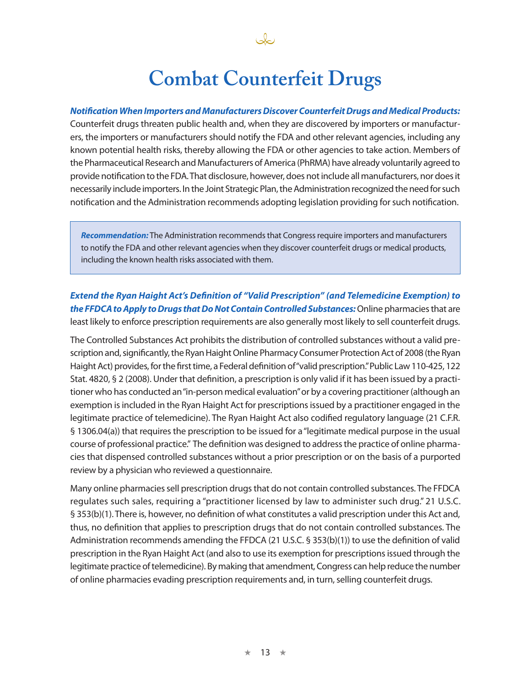## **Combat Counterfeit Drugs**

John

### *Notification When Importers and Manufacturers Discover Counterfeit Drugs and Medical Products:*

Counterfeit drugs threaten public health and, when they are discovered by importers or manufacturers, the importers or manufacturers should notify the FDA and other relevant agencies, including any known potential health risks, thereby allowing the FDA or other agencies to take action. Members of the Pharmaceutical Research and Manufacturers of America (PhRMA) have already voluntarily agreed to provide notification to the FDA. That disclosure, however, does not include all manufacturers, nor does it necessarily include importers. In the Joint Strategic Plan, the Administration recognized the need for such notification and the Administration recommends adopting legislation providing for such notification.

*Recommendation:* The Administration recommends that Congress require importers and manufacturers to notify the FDA and other relevant agencies when they discover counterfeit drugs or medical products, including the known health risks associated with them.

*Extend the Ryan Haight Act's Definition of "Valid Prescription" (and Telemedicine Exemption) to the FFDCA to Apply to Drugs that Do Not Contain Controlled Substances:* Online pharmacies that are least likely to enforce prescription requirements are also generally most likely to sell counterfeit drugs.

The Controlled Substances Act prohibits the distribution of controlled substances without a valid prescription and, significantly, the Ryan Haight Online Pharmacy Consumer Protection Act of 2008 (the Ryan Haight Act) provides, for the first time, a Federal definition of "valid prescription." Public Law 110-425, 122 Stat. 4820, § 2 (2008). Under that definition, a prescription is only valid if it has been issued by a practitioner who has conducted an "in-person medical evaluation" or by a covering practitioner (although an exemption is included in the Ryan Haight Act for prescriptions issued by a practitioner engaged in the legitimate practice of telemedicine). The Ryan Haight Act also codified regulatory language (21 C.F.R. § 1306.04(a)) that requires the prescription to be issued for a "legitimate medical purpose in the usual course of professional practice." The definition was designed to address the practice of online pharmacies that dispensed controlled substances without a prior prescription or on the basis of a purported review by a physician who reviewed a questionnaire.

Many online pharmacies sell prescription drugs that do not contain controlled substances. The FFDCA regulates such sales, requiring a "practitioner licensed by law to administer such drug." 21 U.S.C. § 353(b)(1). There is, however, no definition of what constitutes a valid prescription under this Act and, thus, no definition that applies to prescription drugs that do not contain controlled substances. The Administration recommends amending the FFDCA (21 U.S.C. § 353(b)(1)) to use the definition of valid prescription in the Ryan Haight Act (and also to use its exemption for prescriptions issued through the legitimate practice of telemedicine). By making that amendment, Congress can help reduce the number of online pharmacies evading prescription requirements and, in turn, selling counterfeit drugs.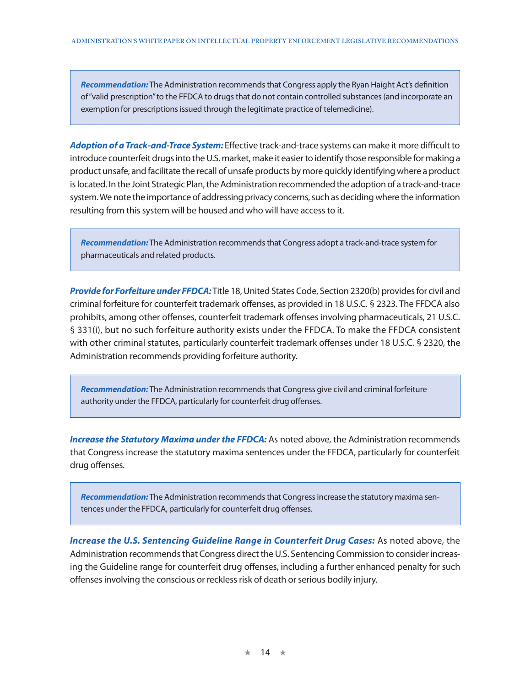*Recommendation:* The Administration recommends that Congress apply the Ryan Haight Act's definition of "valid prescription" to the FFDCA to drugs that do not contain controlled substances (and incorporate an exemption for prescriptions issued through the legitimate practice of telemedicine).

*Adoption of a Track-and-Trace System:* Effective track-and-trace systems can make it more difficult to introduce counterfeit drugs into the U.S. market, make it easier to identify those responsible for making a product unsafe, and facilitate the recall of unsafe products by more quickly identifying where a product is located. In the Joint Strategic Plan, the Administration recommended the adoption of a track-and-trace system. We note the importance of addressing privacy concerns, such as deciding where the information resulting from this system will be housed and who will have access to it.

*Recommendation:* The Administration recommends that Congress adopt a track-and-trace system for pharmaceuticals and related products.

*Provide for Forfeiture under FFDCA:* Title 18, United States Code, Section 2320(b) provides for civil and criminal forfeiture for counterfeit trademark offenses, as provided in 18 U.S.C. § 2323. The FFDCA also prohibits, among other offenses, counterfeit trademark offenses involving pharmaceuticals, 21 U.S.C. § 331(i), but no such forfeiture authority exists under the FFDCA. To make the FFDCA consistent with other criminal statutes, particularly counterfeit trademark offenses under 18 U.S.C. § 2320, the Administration recommends providing forfeiture authority.

*Recommendation:* The Administration recommends that Congress give civil and criminal forfeiture authority under the FFDCA, particularly for counterfeit drug offenses.

*Increase the Statutory Maxima under the FFDCA:* As noted above, the Administration recommends that Congress increase the statutory maxima sentences under the FFDCA, particularly for counterfeit drug offenses.

*Recommendation:* The Administration recommends that Congress increase the statutory maxima sentences under the FFDCA, particularly for counterfeit drug offenses.

*Increase the U.S. Sentencing Guideline Range in Counterfeit Drug Cases:* As noted above, the Administration recommends that Congress direct the U.S. Sentencing Commission to consider increasing the Guideline range for counterfeit drug offenses, including a further enhanced penalty for such offenses involving the conscious or reckless risk of death or serious bodily injury.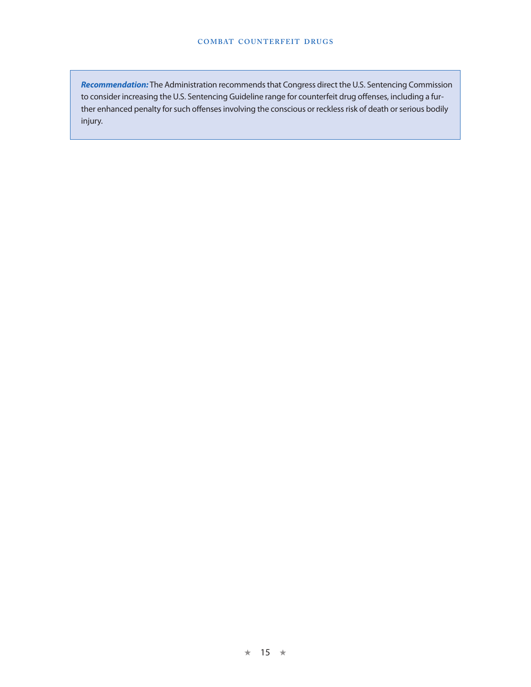*Recommendation:* The Administration recommends that Congress direct the U.S. Sentencing Commission to consider increasing the U.S. Sentencing Guideline range for counterfeit drug offenses, including a further enhanced penalty for such offenses involving the conscious or reckless risk of death or serious bodily injury.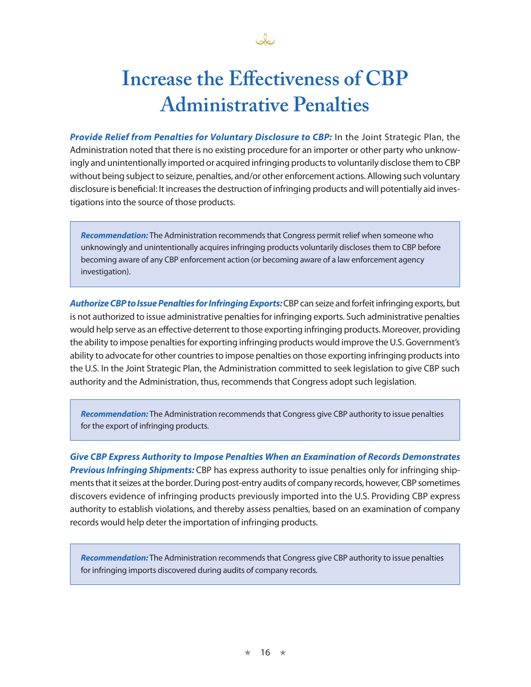

# **Increase the Effectiveness of CBP Administrative Penalties**

*Provide Relief from Penalties for Voluntary Disclosure to CBP:* In the Joint Strategic Plan, the Administration noted that there is no existing procedure for an importer or other party who unknowingly and unintentionally imported or acquired infringing products to voluntarily disclose them to CBP without being subject to seizure, penalties, and/or other enforcement actions. Allowing such voluntary disclosure is beneficial: It increases the destruction of infringing products and will potentially aid investigations into the source of those products.

*Recommendation:* The Administration recommends that Congress permit relief when someone who unknowingly and unintentionally acquires infringing products voluntarily discloses them to CBP before becoming aware of any CBP enforcement action (or becoming aware of a law enforcement agency investigation).

*Authorize CBP to Issue Penalties for Infringing Exports:* CBP can seize and forfeit infringing exports, but is not authorized to issue administrative penalties for infringing exports. Such administrative penalties would help serve as an effective deterrent to those exporting infringing products. Moreover, providing the ability to impose penalties for exporting infringing products would improve the U.S. Government's ability to advocate for other countries to impose penalties on those exporting infringing products into the U.S. In the Joint Strategic Plan, the Administration committed to seek legislation to give CBP such authority and the Administration, thus, recommends that Congress adopt such legislation.

*Recommendation:* The Administration recommends that Congress give CBP authority to issue penalties for the export of infringing products.

*Give CBP Express Authority to Impose Penalties When an Examination of Records Demonstrates Previous Infringing Shipments:* CBP has express authority to issue penalties only for infringing shipments that it seizes at the border. During post-entry audits of company records, however, CBP sometimes discovers evidence of infringing products previously imported into the U.S. Providing CBP express authority to establish violations, and thereby assess penalties, based on an examination of company records would help deter the importation of infringing products.

*Recommendation:* The Administration recommends that Congress give CBP authority to issue penalties for infringing imports discovered during audits of company records.